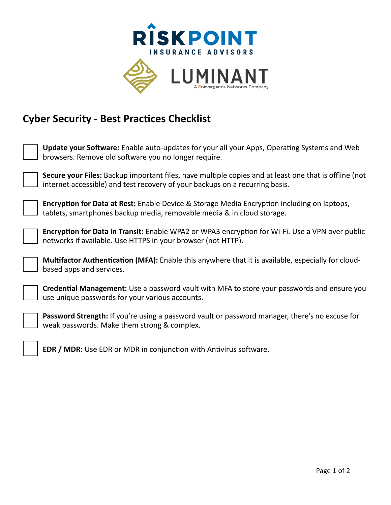

## **Cyber Security - Best Practices Checklist**

| <b>Update your Software:</b> Enable auto-updates for your all your Apps, Operating Systems and Web<br>browsers. Remove old software you no longer require.                            |
|---------------------------------------------------------------------------------------------------------------------------------------------------------------------------------------|
| Secure your Files: Backup important files, have multiple copies and at least one that is offline (not<br>internet accessible) and test recovery of your backups on a recurring basis. |
| <b>Encryption for Data at Rest:</b> Enable Device & Storage Media Encryption including on laptops,<br>tablets, smartphones backup media, removable media & in cloud storage.          |
| <b>Encryption for Data in Transit:</b> Enable WPA2 or WPA3 encryption for Wi-Fi. Use a VPN over public<br>networks if available. Use HTTPS in your browser (not HTTP).                |
| Multifactor Authentication (MFA): Enable this anywhere that it is available, especially for cloud-<br>based apps and services.                                                        |
| <b>Credential Management:</b> Use a password vault with MFA to store your passwords and ensure you<br>use unique passwords for your various accounts.                                 |
| Password Strength: If you're using a password vault or password manager, there's no excuse for<br>weak passwords. Make them strong & complex.                                         |
| <b>EDR / MDR:</b> Use EDR or MDR in conjunction with Antivirus software.                                                                                                              |